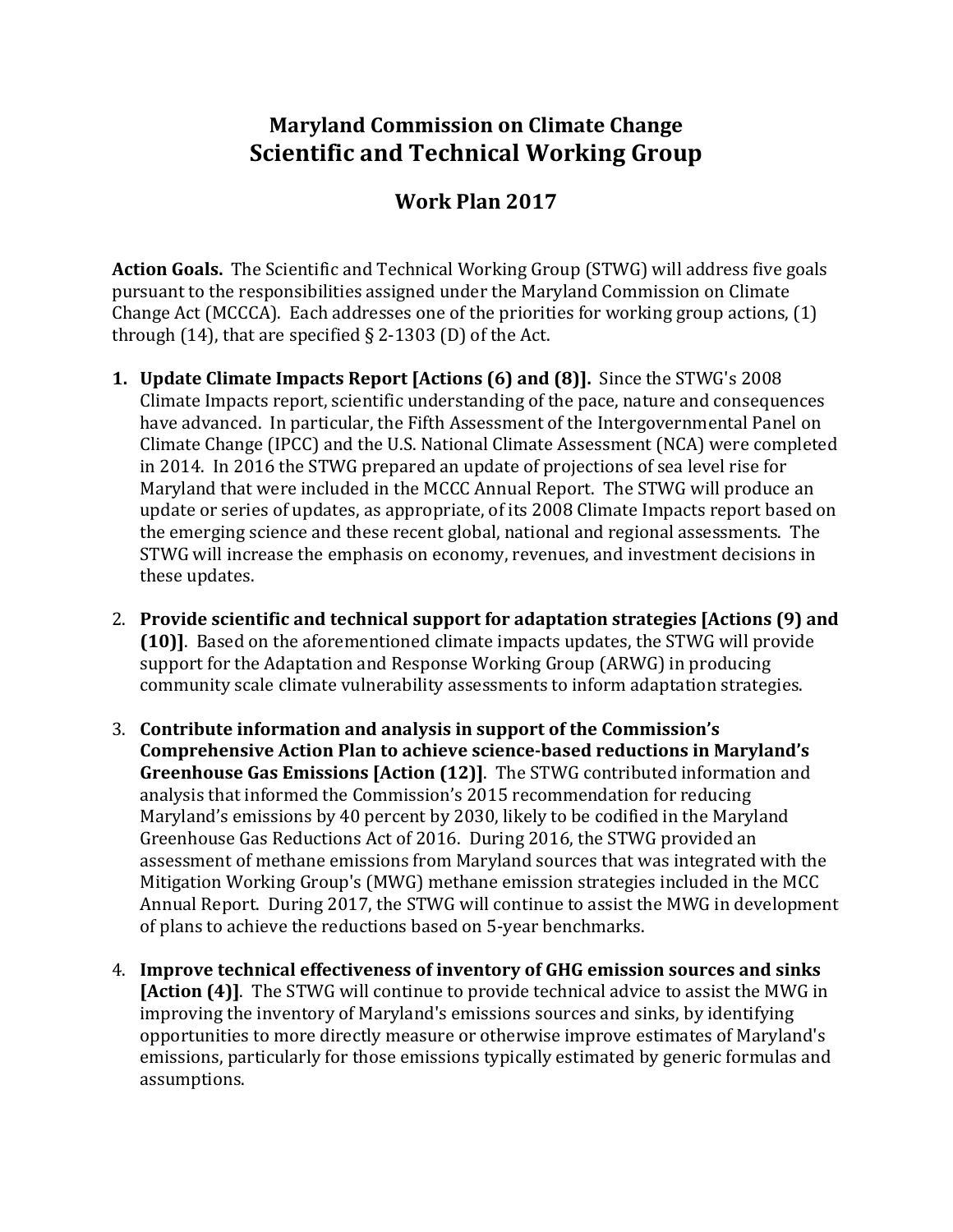## **Maryland Commission on Climate Change Scientific and Technical Working Group**

## **Work Plan 2017**

**Action Goals.** The Scientific and Technical Working Group (STWG) will address five goals pursuant to the responsibilities assigned under the Maryland Commission on Climate Change Act (MCCCA). Each addresses one of the priorities for working group actions, (1) through (14), that are specified  $\S$  2-1303 (D) of the Act.

- **1. Update Climate Impacts Report [Actions (6) and (8)].** Since the STWG's 2008 Climate Impacts report, scientific understanding of the pace, nature and consequences have advanced. In particular, the Fifth Assessment of the Intergovernmental Panel on Climate Change (IPCC) and the U.S. National Climate Assessment (NCA) were completed in 2014. In 2016 the STWG prepared an update of projections of sea level rise for Maryland that were included in the MCCC Annual Report. The STWG will produce an update or series of updates, as appropriate, of its 2008 Climate Impacts report based on the emerging science and these recent global, national and regional assessments. The STWG will increase the emphasis on economy, revenues, and investment decisions in these updates.
- 2. **Provide scientific and technical support for adaptation strategies [Actions (9) and (10)]**. Based on the aforementioned climate impacts updates, the STWG will provide support for the Adaptation and Response Working Group (ARWG) in producing community scale climate vulnerability assessments to inform adaptation strategies.
- 3. **Contribute information and analysis in support of the Commission's Comprehensive Action Plan to achieve science-based reductions in Maryland's Greenhouse Gas Emissions [Action (12)]**. The STWG contributed information and analysis that informed the Commission's 2015 recommendation for reducing Maryland's emissions by 40 percent by 2030, likely to be codified in the Maryland Greenhouse Gas Reductions Act of 2016. During 2016, the STWG provided an assessment of methane emissions from Maryland sources that was integrated with the Mitigation Working Group's (MWG) methane emission strategies included in the MCC Annual Report. During 2017, the STWG will continue to assist the MWG in development of plans to achieve the reductions based on 5-year benchmarks.
- 4. **Improve technical effectiveness of inventory of GHG emission sources and sinks [Action (4)]**. The STWG will continue to provide technical advice to assist the MWG in improving the inventory of Maryland's emissions sources and sinks, by identifying opportunities to more directly measure or otherwise improve estimates of Maryland's emissions, particularly for those emissions typically estimated by generic formulas and assumptions.